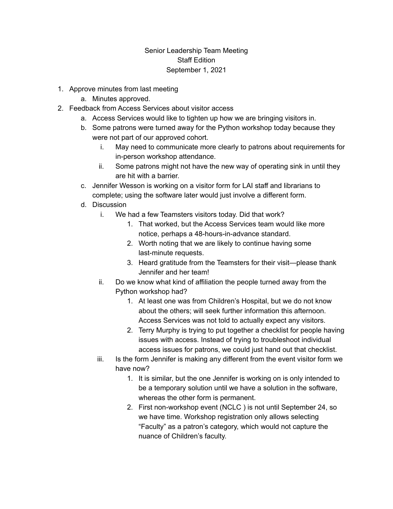## Senior Leadership Team Meeting Staff Edition September 1, 2021

- 1. Approve minutes from last meeting
	- a. Minutes approved.
- 2. Feedback from Access Services about visitor access
	- a. Access Services would like to tighten up how we are bringing visitors in.
	- b. Some patrons were turned away for the Python workshop today because they were not part of our approved cohort.
		- i. May need to communicate more clearly to patrons about requirements for in-person workshop attendance.
		- ii. Some patrons might not have the new way of operating sink in until they are hit with a barrier.
	- c. Jennifer Wesson is working on a visitor form for LAI staff and librarians to complete; using the software later would just involve a different form.
	- d. Discussion
		- i. We had a few Teamsters visitors today. Did that work?
			- 1. That worked, but the Access Services team would like more notice, perhaps a 48-hours-in-advance standard.
			- 2. Worth noting that we are likely to continue having some last-minute requests.
			- 3. Heard gratitude from the Teamsters for their visit—please thank Jennifer and her team!
		- ii. Do we know what kind of affiliation the people turned away from the Python workshop had?
			- 1. At least one was from Children's Hospital, but we do not know about the others; will seek further information this afternoon. Access Services was not told to actually expect any visitors.
			- 2. Terry Murphy is trying to put together a checklist for people having issues with access. Instead of trying to troubleshoot individual access issues for patrons, we could just hand out that checklist.
		- iii. Is the form Jennifer is making any different from the event visitor form we have now?
			- 1. It is similar, but the one Jennifer is working on is only intended to be a temporary solution until we have a solution in the software, whereas the other form is permanent.
			- 2. First non-workshop event (NCLC ) is not until September 24, so we have time. Workshop registration only allows selecting "Faculty" as a patron's category, which would not capture the nuance of Children's faculty.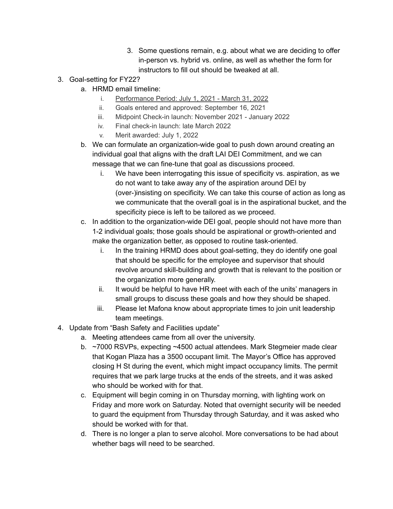- 3. Some questions remain, e.g. about what we are deciding to offer in-person vs. hybrid vs. online, as well as whether the form for instructors to fill out should be tweaked at all.
- 3. Goal-setting for FY22?
	- a. HRMD email timeline:
		- i. Performance Period: July 1, 2021 March 31, 2022
		- ii. Goals entered and approved: September 16, 2021
		- iii. Midpoint Check-in launch: November 2021 January 2022
		- iv. Final check-in launch: late March 2022
		- v. Merit awarded: July 1, 2022
	- b. We can formulate an organization-wide goal to push down around creating an individual goal that aligns with the draft LAI DEI Commitment, and we can message that we can fine-tune that goal as discussions proceed.
		- i. We have been interrogating this issue of specificity vs. aspiration, as we do not want to take away any of the aspiration around DEI by (over-)insisting on specificity. We can take this course of action as long as we communicate that the overall goal is in the aspirational bucket, and the specificity piece is left to be tailored as we proceed.
	- c. In addition to the organization-wide DEI goal, people should not have more than 1-2 individual goals; those goals should be aspirational or growth-oriented and make the organization better, as opposed to routine task-oriented.
		- i. In the training HRMD does about goal-setting, they do identify one goal that should be specific for the employee and supervisor that should revolve around skill-building and growth that is relevant to the position or the organization more generally.
		- ii. It would be helpful to have HR meet with each of the units' managers in small groups to discuss these goals and how they should be shaped.
		- iii. Please let Mafona know about appropriate times to join unit leadership team meetings.
- 4. Update from "Bash Safety and Facilities update"
	- a. Meeting attendees came from all over the university.
	- b. ~7000 RSVPs, expecting ~4500 actual attendees. Mark Stegmeier made clear that Kogan Plaza has a 3500 occupant limit. The Mayor's Office has approved closing H St during the event, which might impact occupancy limits. The permit requires that we park large trucks at the ends of the streets, and it was asked who should be worked with for that.
	- c. Equipment will begin coming in on Thursday morning, with lighting work on Friday and more work on Saturday. Noted that overnight security will be needed to guard the equipment from Thursday through Saturday, and it was asked who should be worked with for that.
	- d. There is no longer a plan to serve alcohol. More conversations to be had about whether bags will need to be searched.